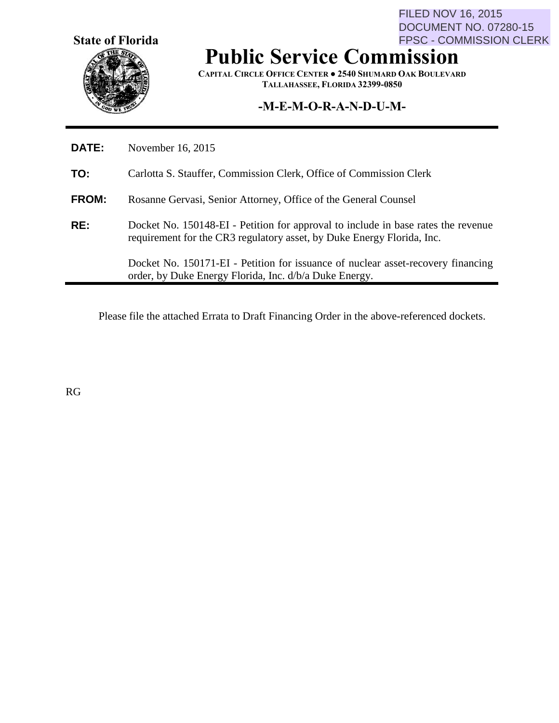**State of Florida**

FILED NOV 16, 2015 DOCUMENT NO. 07280-15 FPSC - COMMISSION CLERK

# **Public Service Commission**

**CAPITAL CIRCLE OFFICE CENTER ● 2540 SHUMARD OAK BOULEVARD TALLAHASSEE, FLORIDA 32399-0850**

## **-M-E-M-O-R-A-N-D-U-M-**

| <b>DATE:</b> | November 16, 2015                                                                                                                                           |  |
|--------------|-------------------------------------------------------------------------------------------------------------------------------------------------------------|--|
| TO:          | Carlotta S. Stauffer, Commission Clerk, Office of Commission Clerk                                                                                          |  |
| <b>FROM:</b> | Rosanne Gervasi, Senior Attorney, Office of the General Counsel                                                                                             |  |
| RE:          | Docket No. 150148-EI - Petition for approval to include in base rates the revenue<br>requirement for the CR3 regulatory asset, by Duke Energy Florida, Inc. |  |
|              | Docket No. 150171-EI - Petition for issuance of nuclear asset-recovery financing<br>order, by Duke Energy Florida, Inc. d/b/a Duke Energy.                  |  |

Please file the attached Errata to Draft Financing Order in the above-referenced dockets.

RG

 $\blacksquare$